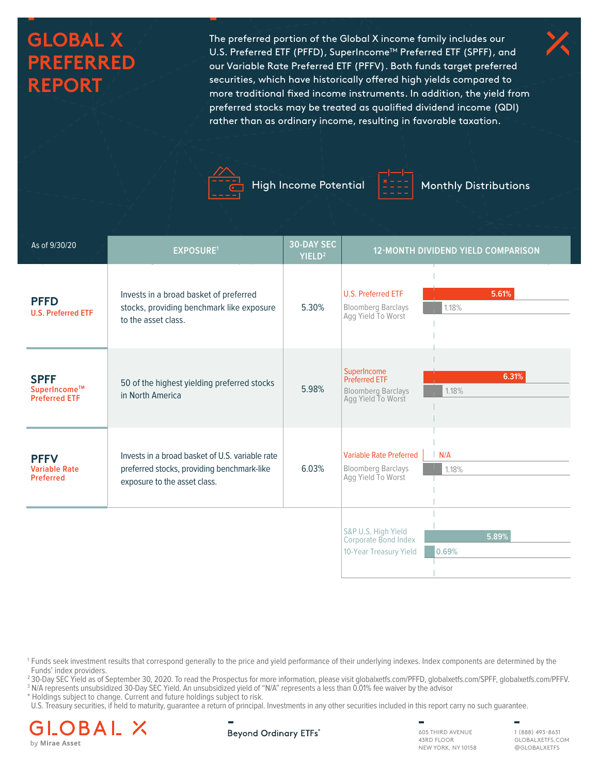# **GLOBAL X PREFERRED REPORT**

The preferred portion of the Global X income family includes our U.S. Preferred ETF (PFFD), SuperIncome™ Preferred ETF (SPFF), and our Variable Rate Preferred ETF (PFFV). Both funds target preferred securities, which have historically offered high yields compared to more traditional fixed income instruments. In addition, the yield from preferred stocks may be treated as qualified dividend income (QDI) rather than as ordinary income, resulting in favorable taxation.





High Income Potential | Monthly Distributions

| As of 9/30/20                                           | <b>EXPOSURE1</b>                                                                                                              | <b>30-DAY SEC</b><br>YIELD <sup>2</sup> |                                                                                        | <b>12-MONTH DIVIDEND YIELD COMPARISON</b> |
|---------------------------------------------------------|-------------------------------------------------------------------------------------------------------------------------------|-----------------------------------------|----------------------------------------------------------------------------------------|-------------------------------------------|
| <b>PFFD</b><br><b>U.S. Preferred ETF</b>                | Invests in a broad basket of preferred<br>stocks, providing benchmark like exposure<br>to the asset class.                    | 5.30%                                   | U.S. Preferred ETF<br><b>Bloomberg Barclays</b><br>Agg Yield To Worst                  | 5.61%<br>1.18%                            |
| <b>SPFF</b><br>SuperIncome™<br><b>Preferred ETF</b>     | 50 of the highest yielding preferred stocks<br>in North America                                                               | 5.98%                                   | SuperIncome<br><b>Preferred ETF</b><br><b>Bloomberg Barclays</b><br>Agg Yield To Worst | 6.31%<br>1.18%                            |
| <b>PFFV</b><br><b>Variable Rate</b><br><b>Preferred</b> | Invests in a broad basket of U.S. variable rate<br>preferred stocks, providing benchmark-like<br>exposure to the asset class. | 6.03%                                   | <b>Variable Rate Preferred</b><br><b>Bloomberg Barclays</b><br>Agg Yield To Worst      | N/A<br>1.18%                              |
|                                                         |                                                                                                                               |                                         | S&P U.S. High Yield<br>Corporate Bond Index<br>10-Year Treasury Yield                  | 5.89%<br>0.69%                            |

1 Funds seek investment results that correspond generally to the price and yield performance of their underlying indexes. Index components are determined by the Funds' index providers.

<sup>2</sup> 30-Day SEC Yield as of September 30, 2020. To read the Prospectus for more information, please visit globalxetfs.com/PFFD, globalxetfs.com/SPFF, globalxetfs.com/PFFV.

<sup>3</sup> N/A represents unsubsidized 30-Day SEC Yield. An unsubsidized yield of "N/A" represents a less than 0.01% fee waiver by the advisor \* Holdings subject to change. Current and future holdings subject to risk.

U.S. Treasury securities, if held to maturity, guarantee a return of principal. Investments in any other securities included in this report carry no such guarantee.





605 THIRD AVENUE 43RD FLOOR NEW YORK, NY 10158

1 (888) 493-8631 GLOBALXETFS.COM @GLOBALXETFS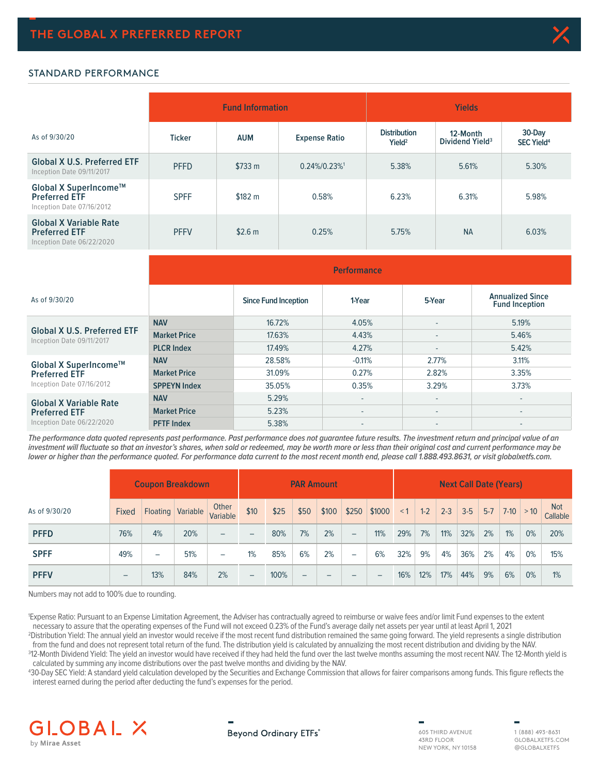

#### STANDARD PERFORMANCE

|                                                                                    |               | <b>Fund Information</b> |                      | <b>Yields</b>                             |                                         |                                        |  |  |  |
|------------------------------------------------------------------------------------|---------------|-------------------------|----------------------|-------------------------------------------|-----------------------------------------|----------------------------------------|--|--|--|
| As of 9/30/20                                                                      | <b>Ticker</b> | <b>AUM</b>              | <b>Expense Ratio</b> | <b>Distribution</b><br>Yield <sup>2</sup> | 12-Month<br>Dividend Yield <sup>3</sup> | 30-Day<br><b>SEC Yield<sup>4</sup></b> |  |  |  |
| <b>Global X U.S. Preferred ETF</b><br>Inception Date 09/11/2017                    | <b>PFFD</b>   | \$733 m                 | $0.24\%/0.23\%/1$    | 5.38%                                     | 5.61%                                   | 5.30%                                  |  |  |  |
| Global X SuperIncome™<br><b>Preferred ETF</b><br>Inception Date 07/16/2012         | <b>SPFF</b>   | \$182 m                 | 0.58%                | 6.23%                                     | 6.31%                                   | 5.98%                                  |  |  |  |
| <b>Global X Variable Rate</b><br><b>Preferred ETF</b><br>Inception Date 06/22/2020 | <b>PFFV</b>   | \$2.6 m                 | 0.25%                | 5.75%                                     | <b>NA</b>                               | 6.03%                                  |  |  |  |

|                                                                 | <b>Performance</b>  |                             |          |        |                                                  |  |  |  |  |
|-----------------------------------------------------------------|---------------------|-----------------------------|----------|--------|--------------------------------------------------|--|--|--|--|
| As of 9/30/20                                                   |                     | <b>Since Fund Inception</b> | 1-Year   | 5-Year | <b>Annualized Since</b><br><b>Fund Inception</b> |  |  |  |  |
|                                                                 | <b>NAV</b>          | 16.72%                      | 4.05%    | $\sim$ | 5.19%                                            |  |  |  |  |
| <b>Global X U.S. Preferred ETF</b><br>Inception Date 09/11/2017 | <b>Market Price</b> | 17.63%                      | 4.43%    | ٠      | 5.46%                                            |  |  |  |  |
|                                                                 | <b>PLCR Index</b>   | 17.49%                      | 4.27%    | $\sim$ | 5.42%                                            |  |  |  |  |
| Global X SuperIncome™                                           | <b>NAV</b>          | 28.58%                      | $-0.11%$ | 2.77%  | 3.11%                                            |  |  |  |  |
| <b>Preferred ETF</b>                                            | <b>Market Price</b> | 31.09%                      | 0.27%    | 2.82%  | 3.35%                                            |  |  |  |  |
| Inception Date 07/16/2012                                       | <b>SPPEYN Index</b> | 35.05%                      | 0.35%    | 3.29%  | 3.73%                                            |  |  |  |  |
| <b>Global X Variable Rate</b><br><b>Preferred ETF</b>           | <b>NAV</b>          | 5.29%                       | ٠        | $\sim$ | ۰.                                               |  |  |  |  |
|                                                                 | <b>Market Price</b> | 5.23%                       | ۰        | ٠      |                                                  |  |  |  |  |
| Inception Date 06/22/2020                                       | <b>PFTF Index</b>   | 5.38%                       | ۰.       | $\sim$ | ۰                                                |  |  |  |  |

**The performance data quoted represents past performance. Past performance does not guarantee future results. The investment return and principal value of an investment will fluctuate so that an investor's shares, when sold or redeemed, may be worth more or less than their original cost and current performance may be lower or higher than the performance quoted. For performance data current to the most recent month end, please call 1.888.493.8631, or visit globalxetfs.com.**

|               |                          |                          | <b>Coupon Breakdown</b> |                          |                          |      | <b>PAR Amount</b> |       |                   |        |          |       |           | <b>Next Call Date (Years)</b> |       |               |       |                        |
|---------------|--------------------------|--------------------------|-------------------------|--------------------------|--------------------------|------|-------------------|-------|-------------------|--------|----------|-------|-----------|-------------------------------|-------|---------------|-------|------------------------|
| As of 9/30/20 | <b>Fixed</b>             |                          | Floating Variable       | Other<br>Variable        | \$10                     | \$25 | \$50              | \$100 | \$250             | \$1000 | $\leq$ 1 | $1-2$ | $2-3$ 3-5 |                               | $5-7$ | $ 7-10  > 10$ |       | <b>Not</b><br>Callable |
| <b>PFFD</b>   | 76%                      | 4%                       | 20%                     | $\overline{\phantom{0}}$ | $\overline{\phantom{0}}$ | 80%  | 7%                | 2%    | $\qquad \qquad -$ | 11%    | 29%      | 7%    | 11%       | 32%                           | 2%    | 1%            | 0%    | 20%                    |
| <b>SPFF</b>   | 49%                      | $\overline{\phantom{0}}$ | 51%                     | $\overline{\phantom{a}}$ | 1%                       | 85%  | 6%                | 2%    | -                 | 6%     | 32%      | 9%    | 4%        | 36%                           | 2%    | 4%            | $0\%$ | 15%                    |
| <b>PFFV</b>   | $\overline{\phantom{0}}$ | 13%                      | 84%                     | 2%                       | $\qquad \qquad -$        | 100% | -                 | -     | -                 | -      | 16%      | 12%   | 17%       | 44%                           | 9%    | 6%            | 0%    | 1%                     |

Numbers may not add to 100% due to rounding.

1 Expense Ratio: Pursuant to an Expense Limitation Agreement, the Adviser has contractually agreed to reimburse or waive fees and/or limit Fund expenses to the extent necessary to assure that the operating expenses of the Fund will not exceed 0.23% of the Fund's average daily net assets per year until at least April 1, 2021 2 Distribution Yield: The annual yield an investor would receive if the most recent fund distribution remained the same going forward. The yield represents a single distribution

from the fund and does not represent total return of the fund. The distribution yield is calculated by annualizing the most recent distribution and dividing by the NAV. 312-Month Dividend Yield: The yield an investor would have received if they had held the fund over the last twelve months assuming the most recent NAV. The 12-Month yield is calculated by summing any income distributions over the past twelve months and dividing by the NAV.

4 30-Day SEC Yield: A standard yield calculation developed by the Securities and Exchange Commission that allows for fairer comparisons among funds. This figure reflects the interest earned during the period after deducting the fund's expenses for the period.



### **Beyond Ordinary ETFs<sup>®</sup>**

605 THIRD AVENUE 43RD FLOOR NEW YORK, NY 10158

1 (888) 493-8631 GLOBALXETFS.COM @GLOBALXETFS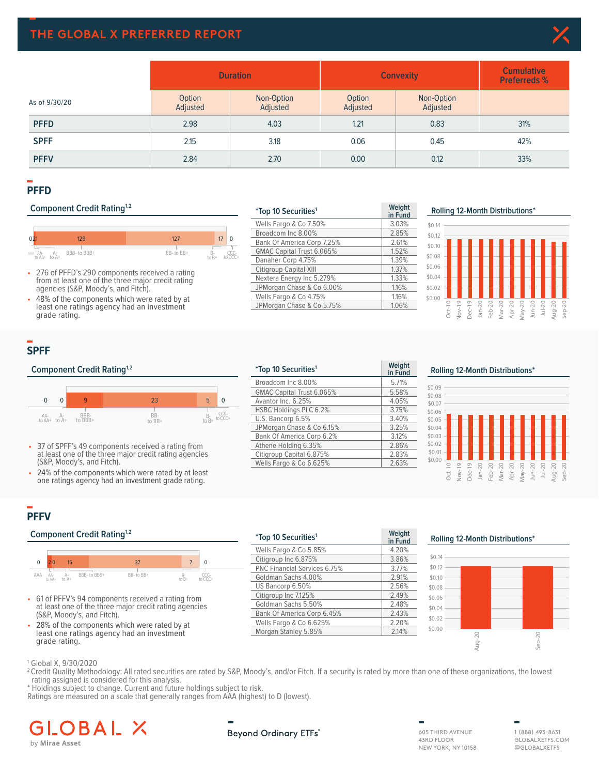## **THE GLOBAL X PREFERRED REPORT**



|               |                    | <b>Duration</b>        | <b>Convexity</b>   | <b>Cumulative</b><br><b>Preferreds %</b> |     |
|---------------|--------------------|------------------------|--------------------|------------------------------------------|-----|
| As of 9/30/20 | Option<br>Adjusted | Non-Option<br>Adjusted | Option<br>Adjusted | Non-Option<br>Adjusted                   |     |
| <b>PFFD</b>   | 2.98               | 4.03                   | 1.21               | 0.83                                     | 31% |
| <b>SPFF</b>   | 2.15               | 3.18                   | 0.06               | 0.45                                     | 42% |
| <b>PFFV</b>   | 2.84               | 2.70                   | 0.00               | 0.12                                     | 33% |

### **PFFD**

## **Component Credit Rating<sup>1,2</sup>**



- 276 of PFFD's 290 components received a rating from at least one of the three major credit rating agencies (S&P, Moody's, and Fitch).
- 48% of the components which were rated by at least one ratings agency had an investment grade rating.

| <i>*Top 10 Securities<sup>1</sup></i> | Weight<br>in Fund |
|---------------------------------------|-------------------|
| Wells Fargo & Co 7.50%                | 3.03%             |
| Broadcom Inc 8.00%                    | 2.85%             |
| Bank Of America Corp 7.25%            | 2.61%             |
| GMAC Capital Trust 6.065%             | 1.52%             |
| Danaher Corp 4.75%                    | 1.39%             |
| Citigroup Capital XIII                | 1.37%             |
| Nextera Energy Inc 5.279%             | 1.33%             |
| JPMorgan Chase & Co 6.00%             | 1.16%             |
| Wells Fargo & Co 4.75%                | 1.16%             |
| JPMorgan Chase & Co 5.75%             | 1.06%             |

**\*Top 10 Securities1 Weight** 

Broadcom Inc 8.00% 5.71% GMAC Capital Trust 6.065% 5.58%<br>Avantor Inc. 6.25% 4.05%

HSBC Holdings PLC 6.2% 3.75%<br>U.S. Bancorp 6.5% 3.40% U.S. Bancorp 6.5% 3.40%<br>
JPMorgan Chase & Co 6.15% 3.25% JPMorgan Chase & Co 6.15% 3.25%<br>Bank Of America Corp 6.2% 3.12% Bank Of America Corp 6.2% 3.12%<br>Athene Holding 6.35% 2.86% Athene Holding 6.35% 2.86%<br>Citigroup Capital 6.875% 2.83% Citigroup Capital 6.875% 2.83%<br>Wells Fargo & Co 6.625% 2.63%

Avantor Inc. 6.25%

Wells Fargo & Co 6.625%

**in Fund**

### **PFFD Rolling 12 Month Distributions² Rolling 12-Month Distributions\***



## **SPFF**

#### **Component Credit Rating<sup>1,2</sup>**



- 37 of SPFF's 49 components received a rating from at least one of the three major credit rating agencies (S&P, Moody's, and Fitch).
- 24% of the components which were rated by at least one ratings agency had an investment grade rating.

## **PFFV**

#### **Component Credit Rating<sup>1,2</sup>**



- 61 of PFFV's 94 components received a rating from at least one of the three major credit rating agencies (S&P, Moody's, and Fitch).
- 28% of the components which were rated by at least one ratings agency had an investment grade rating.

| <i>*Top 10 Securities<sup>1</sup></i> | Weight<br>in Fund |
|---------------------------------------|-------------------|
| Wells Fargo & Co 5.85%                | 4.20%             |
| Citigroup Inc 6.875%                  | 3.86%             |
| <b>PNC Financial Services 6.75%</b>   | 3.77%             |
| Goldman Sachs 4.00%                   | 2.91%             |
| US Bancorp 6.50%                      | 2.56%             |
| Citigroup Inc 7.125%                  | 2.49%             |
| Goldman Sachs 5.50%                   | 2.48%             |
| Bank Of America Corp 6.45%            | 2.43%             |
| Wells Fargo & Co 6.625%               | 2.20%             |
| Morgan Stanley 5.85%                  | 2.14%             |

#### **Rolling 12-Month Distributions\***



#### **PFFV Rolling 12 Month Distributions²**  $$0.12$ \$0.14 **Rolling 12-Month Distributions\***



1 Global X, 9/30/2020

<sup>2</sup> Credit Quality Methodology: All rated securities are rated by S&P, Moody's, and/or Fitch. If a security is rated by more than one of these organizations, the lowest rating assigned is considered for this analysis.

 $^\ast$  Holdings subject to change. Current and future holdings subject to risk.

Ratings are measured on a scale that generally ranges from AAA (highest) to D (lowest).

## BAI by Mirae Asset

#### **Beyond Ordinary ETFs<sup>®</sup>**

605 THIRD AVENUE 43RD FLOOR NEW YORK, NY 10158